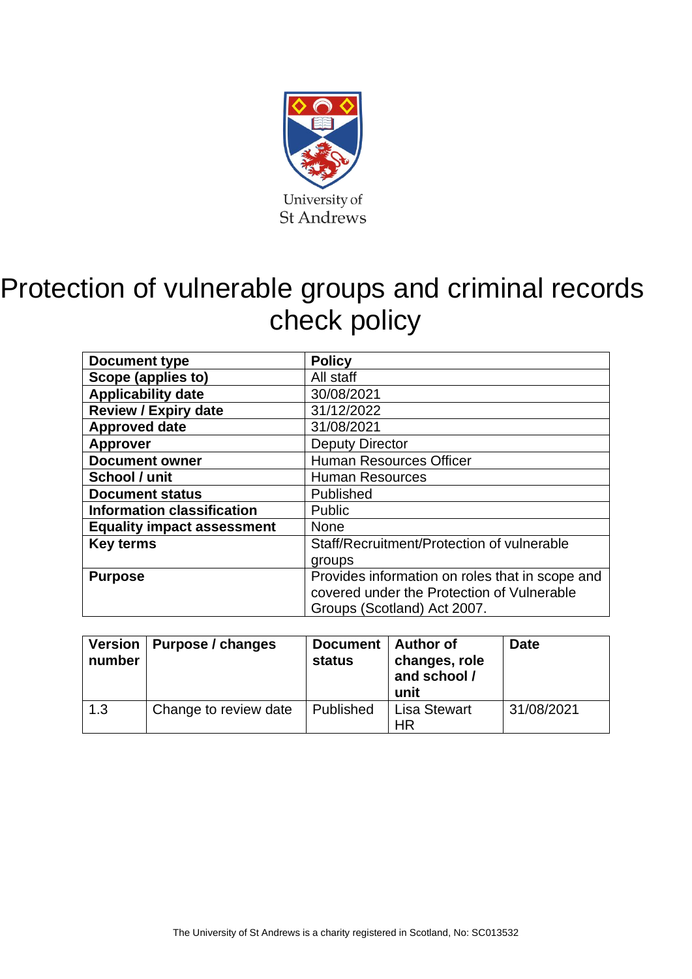

# Protection of vulnerable groups and criminal records check policy

| Document type                                      | <b>Policy</b>                                   |  |  |
|----------------------------------------------------|-------------------------------------------------|--|--|
| Scope (applies to)                                 | All staff                                       |  |  |
| <b>Applicability date</b>                          | 30/08/2021                                      |  |  |
| <b>Review / Expiry date</b>                        | 31/12/2022                                      |  |  |
| <b>Approved date</b>                               | 31/08/2021                                      |  |  |
| <b>Approver</b>                                    | <b>Deputy Director</b>                          |  |  |
| <b>Document owner</b>                              | <b>Human Resources Officer</b>                  |  |  |
| School / unit                                      | <b>Human Resources</b>                          |  |  |
| <b>Document status</b>                             | Published                                       |  |  |
| <b>Information classification</b><br><b>Public</b> |                                                 |  |  |
| <b>Equality impact assessment</b>                  | <b>None</b>                                     |  |  |
| <b>Key terms</b>                                   | Staff/Recruitment/Protection of vulnerable      |  |  |
|                                                    | groups                                          |  |  |
| <b>Purpose</b>                                     | Provides information on roles that in scope and |  |  |
|                                                    | covered under the Protection of Vulnerable      |  |  |
|                                                    | Groups (Scotland) Act 2007.                     |  |  |

| number | Version   Purpose / changes | Document   Author of<br><b>status</b> | changes, role<br>and school /<br>unit | <b>Date</b> |
|--------|-----------------------------|---------------------------------------|---------------------------------------|-------------|
| 1.3    | Change to review date       | Published                             | <b>Lisa Stewart</b><br>HR             | 31/08/2021  |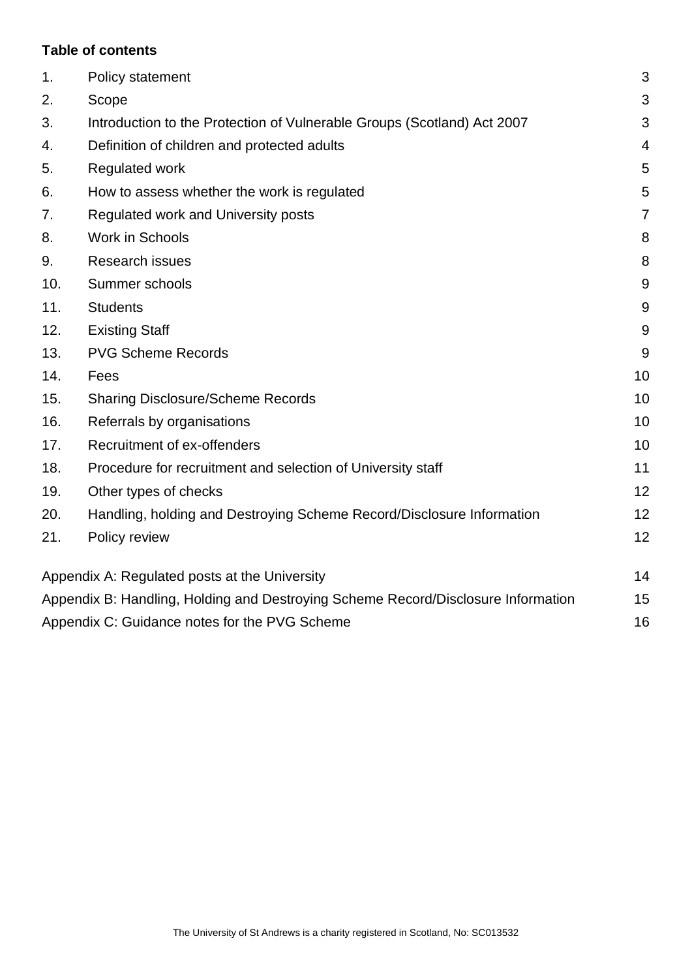# **Table of contents**

| 1.  | Policy statement                                                                  | 3              |
|-----|-----------------------------------------------------------------------------------|----------------|
| 2.  | Scope                                                                             | 3              |
| 3.  | Introduction to the Protection of Vulnerable Groups (Scotland) Act 2007           | 3              |
| 4.  | Definition of children and protected adults                                       | $\overline{4}$ |
| 5.  | <b>Regulated work</b>                                                             | 5              |
| 6.  | How to assess whether the work is regulated                                       | 5              |
| 7.  | Regulated work and University posts                                               | $\overline{7}$ |
| 8.  | Work in Schools                                                                   | 8              |
| 9.  | <b>Research issues</b>                                                            | 8              |
| 10. | Summer schools                                                                    | 9              |
| 11. | <b>Students</b>                                                                   | $9\,$          |
| 12. | <b>Existing Staff</b>                                                             | 9              |
| 13. | <b>PVG Scheme Records</b>                                                         | 9              |
| 14. | Fees                                                                              | 10             |
| 15. | <b>Sharing Disclosure/Scheme Records</b>                                          | 10             |
| 16. | Referrals by organisations                                                        | 10             |
| 17. | Recruitment of ex-offenders                                                       | 10             |
| 18. | Procedure for recruitment and selection of University staff                       | 11             |
| 19. | Other types of checks                                                             | 12             |
| 20. | Handling, holding and Destroying Scheme Record/Disclosure Information             | 12             |
| 21. | Policy review                                                                     | 12             |
|     | Appendix A: Regulated posts at the University                                     | 14             |
|     | Appendix B: Handling, Holding and Destroying Scheme Record/Disclosure Information | 15             |
|     | Appendix C: Guidance notes for the PVG Scheme                                     | 16             |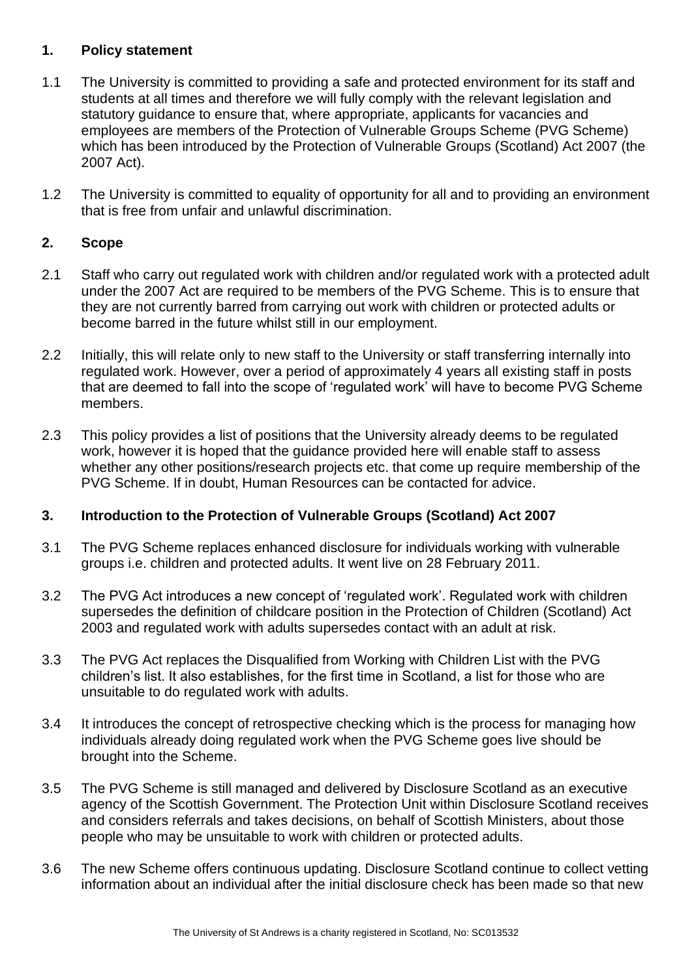## <span id="page-2-0"></span>**1. Policy statement**

- 1.1 The University is committed to providing a safe and protected environment for its staff and students at all times and therefore we will fully comply with the relevant legislation and statutory guidance to ensure that, where appropriate, applicants for vacancies and employees are members of the Protection of Vulnerable Groups Scheme (PVG Scheme) which has been introduced by the Protection of Vulnerable Groups (Scotland) Act 2007 (the 2007 Act).
- 1.2 The University is committed to equality of opportunity for all and to providing an environment that is free from unfair and unlawful discrimination.

# <span id="page-2-1"></span>**2. Scope**

- 2.1 Staff who carry out regulated work with children and/or regulated work with a protected adult under the 2007 Act are required to be members of the PVG Scheme. This is to ensure that they are not currently barred from carrying out work with children or protected adults or become barred in the future whilst still in our employment.
- 2.2 Initially, this will relate only to new staff to the University or staff transferring internally into regulated work. However, over a period of approximately 4 years all existing staff in posts that are deemed to fall into the scope of 'regulated work' will have to become PVG Scheme members.
- 2.3 This policy provides a list of positions that the University already deems to be regulated work, however it is hoped that the guidance provided here will enable staff to assess whether any other positions/research projects etc. that come up require membership of the PVG Scheme. If in doubt, Human Resources can be contacted for advice.

# <span id="page-2-2"></span>**3. Introduction to the Protection of Vulnerable Groups (Scotland) Act 2007**

- 3.1 The PVG Scheme replaces enhanced disclosure for individuals working with vulnerable groups i.e. children and protected adults. It went live on 28 February 2011.
- 3.2 The PVG Act introduces a new concept of 'regulated work'. Regulated work with children supersedes the definition of childcare position in the Protection of Children (Scotland) Act 2003 and regulated work with adults supersedes contact with an adult at risk.
- 3.3 The PVG Act replaces the Disqualified from Working with Children List with the PVG children's list. It also establishes, for the first time in Scotland, a list for those who are unsuitable to do regulated work with adults.
- 3.4 It introduces the concept of retrospective checking which is the process for managing how individuals already doing regulated work when the PVG Scheme goes live should be brought into the Scheme.
- 3.5 The PVG Scheme is still managed and delivered by Disclosure Scotland as an executive agency of the Scottish Government. The Protection Unit within Disclosure Scotland receives and considers referrals and takes decisions, on behalf of Scottish Ministers, about those people who may be unsuitable to work with children or protected adults.
- 3.6 The new Scheme offers continuous updating. Disclosure Scotland continue to collect vetting information about an individual after the initial disclosure check has been made so that new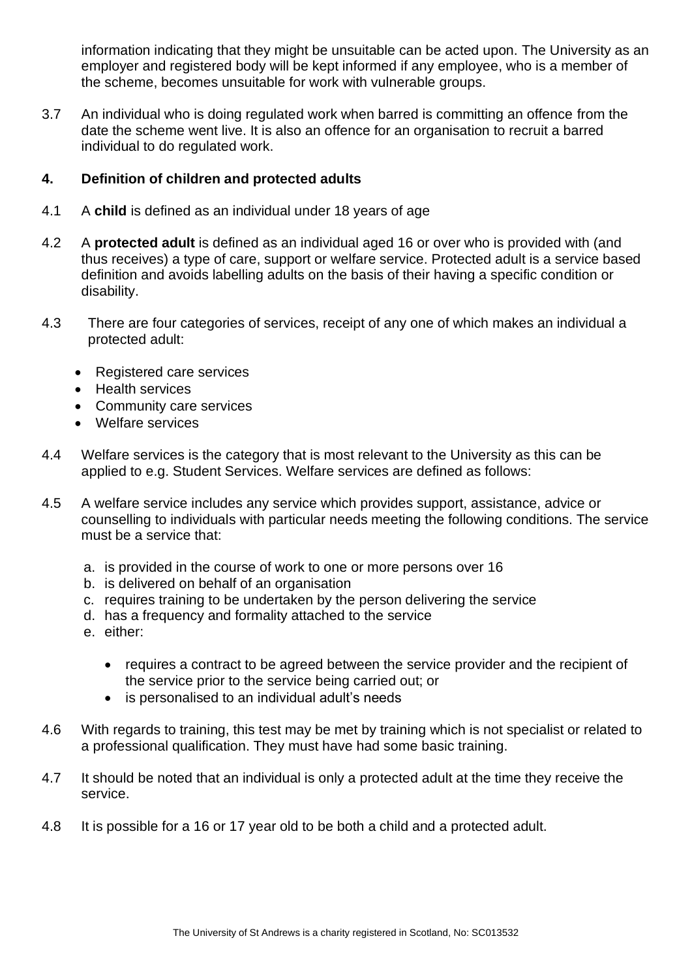information indicating that they might be unsuitable can be acted upon. The University as an employer and registered body will be kept informed if any employee, who is a member of the scheme, becomes unsuitable for work with vulnerable groups.

3.7 An individual who is doing regulated work when barred is committing an offence from the date the scheme went live. It is also an offence for an organisation to recruit a barred individual to do regulated work.

# <span id="page-3-0"></span>**4. Definition of children and protected adults**

- 4.1 A **child** is defined as an individual under 18 years of age
- 4.2 A **protected adult** is defined as an individual aged 16 or over who is provided with (and thus receives) a type of care, support or welfare service. Protected adult is a service based definition and avoids labelling adults on the basis of their having a specific condition or disability.
- 4.3 There are four categories of services, receipt of any one of which makes an individual a protected adult:
	- Registered care services
	- Health services
	- Community care services
	- Welfare services
- 4.4 Welfare services is the category that is most relevant to the University as this can be applied to e.g. Student Services. Welfare services are defined as follows:
- 4.5 A welfare service includes any service which provides support, assistance, advice or counselling to individuals with particular needs meeting the following conditions. The service must be a service that:
	- a. is provided in the course of work to one or more persons over 16
	- b. is delivered on behalf of an organisation
	- c. requires training to be undertaken by the person delivering the service
	- d. has a frequency and formality attached to the service
	- e. either:
		- requires a contract to be agreed between the service provider and the recipient of the service prior to the service being carried out; or
		- is personalised to an individual adult's needs
- 4.6 With regards to training, this test may be met by training which is not specialist or related to a professional qualification. They must have had some basic training.
- 4.7 It should be noted that an individual is only a protected adult at the time they receive the service.
- 4.8 It is possible for a 16 or 17 year old to be both a child and a protected adult.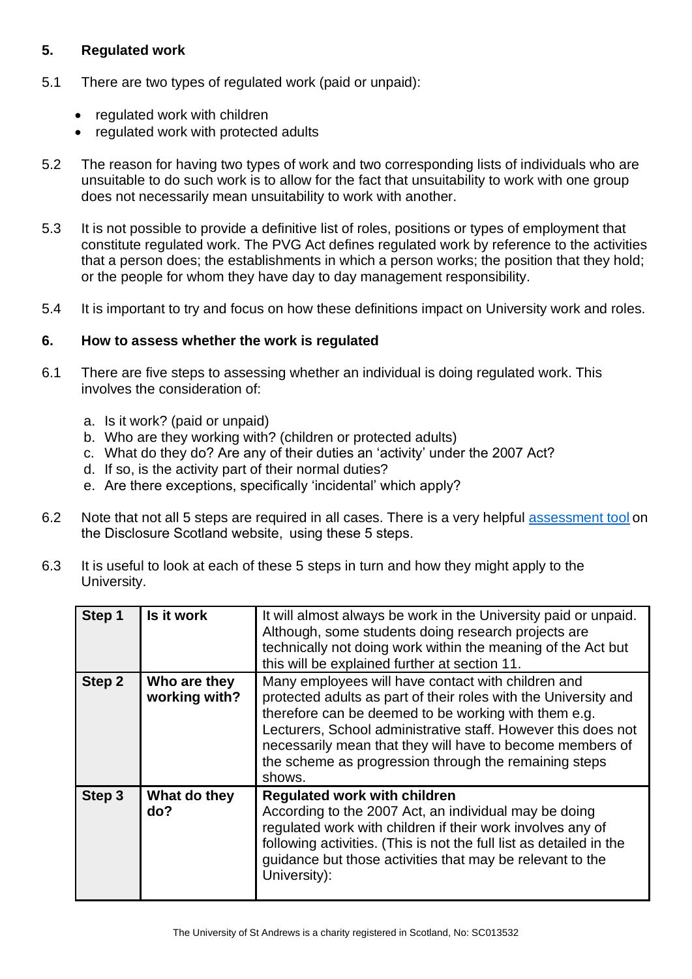# <span id="page-4-0"></span>**5. Regulated work**

- 5.1 There are two types of regulated work (paid or unpaid):
	- regulated work with children
	- regulated work with protected adults
- 5.2 The reason for having two types of work and two corresponding lists of individuals who are unsuitable to do such work is to allow for the fact that unsuitability to work with one group does not necessarily mean unsuitability to work with another.
- 5.3 It is not possible to provide a definitive list of roles, positions or types of employment that constitute regulated work. The PVG Act defines regulated work by reference to the activities that a person does; the establishments in which a person works; the position that they hold; or the people for whom they have day to day management responsibility.
- 5.4 It is important to try and focus on how these definitions impact on University work and roles.

# <span id="page-4-1"></span>**6. How to assess whether the work is regulated**

- 6.1 There are five steps to assessing whether an individual is doing regulated work. This involves the consideration of:
	- a. Is it work? (paid or unpaid)
	- b. Who are they working with? (children or protected adults)
	- c. What do they do? Are any of their duties an 'activity' under the 2007 Act?
	- d. If so, is the activity part of their normal duties?
	- e. Are there exceptions, specifically 'incidental' which apply?
- 6.2 Note that not all 5 steps are required in all cases. There is a very helpful [assessment tool](http://www.disclosurescotland.co.uk/disclosureinformation/pvg_training/self-assessment/index.html) on the Disclosure Scotland website,  using these 5 steps.
- 6.3 It is useful to look at each of these 5 steps in turn and how they might apply to the University.

| Step 1 | Is it work                    | It will almost always be work in the University paid or unpaid.<br>Although, some students doing research projects are<br>technically not doing work within the meaning of the Act but<br>this will be explained further at section 11.                                                                                                                                        |  |
|--------|-------------------------------|--------------------------------------------------------------------------------------------------------------------------------------------------------------------------------------------------------------------------------------------------------------------------------------------------------------------------------------------------------------------------------|--|
| Step 2 | Who are they<br>working with? | Many employees will have contact with children and<br>protected adults as part of their roles with the University and<br>therefore can be deemed to be working with them e.g.<br>Lecturers, School administrative staff. However this does not<br>necessarily mean that they will have to become members of<br>the scheme as progression through the remaining steps<br>shows. |  |
| Step 3 | What do they<br>do?           | <b>Regulated work with children</b><br>According to the 2007 Act, an individual may be doing<br>regulated work with children if their work involves any of<br>following activities. (This is not the full list as detailed in the<br>guidance but those activities that may be relevant to the<br>University):                                                                 |  |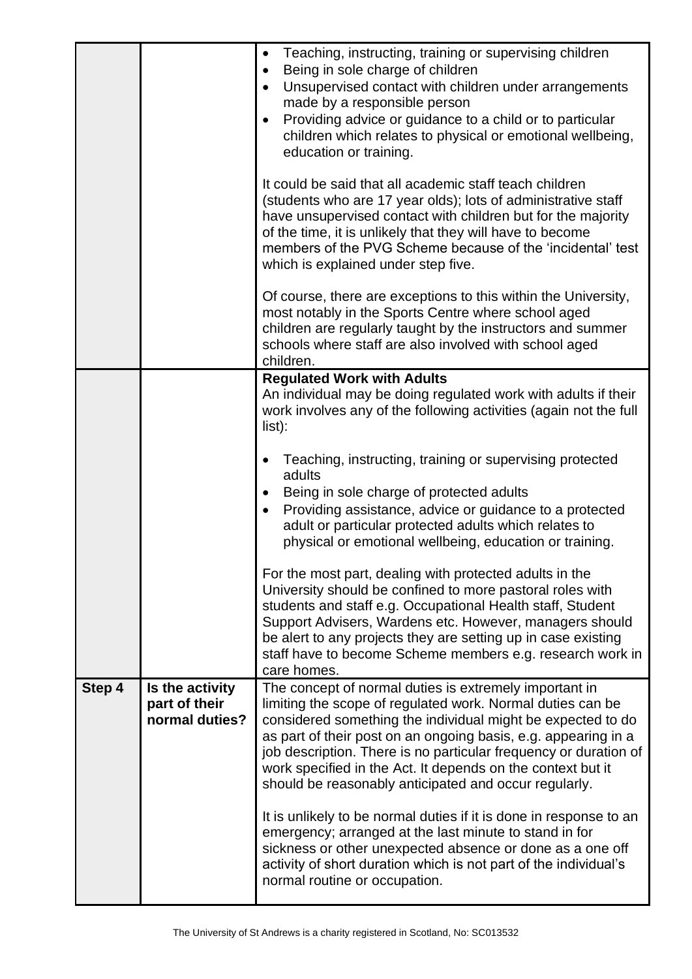|        |                                                    | Teaching, instructing, training or supervising children<br>Being in sole charge of children<br>Unsupervised contact with children under arrangements<br>made by a responsible person<br>Providing advice or guidance to a child or to particular<br>children which relates to physical or emotional wellbeing,<br>education or training.                                                                                                          |
|--------|----------------------------------------------------|---------------------------------------------------------------------------------------------------------------------------------------------------------------------------------------------------------------------------------------------------------------------------------------------------------------------------------------------------------------------------------------------------------------------------------------------------|
|        |                                                    | It could be said that all academic staff teach children<br>(students who are 17 year olds); lots of administrative staff<br>have unsupervised contact with children but for the majority<br>of the time, it is unlikely that they will have to become<br>members of the PVG Scheme because of the 'incidental' test<br>which is explained under step five.                                                                                        |
|        |                                                    | Of course, there are exceptions to this within the University,<br>most notably in the Sports Centre where school aged<br>children are regularly taught by the instructors and summer<br>schools where staff are also involved with school aged<br>children.                                                                                                                                                                                       |
|        |                                                    | <b>Regulated Work with Adults</b><br>An individual may be doing regulated work with adults if their<br>work involves any of the following activities (again not the full<br>$list)$ :                                                                                                                                                                                                                                                             |
|        |                                                    | Teaching, instructing, training or supervising protected<br>adults<br>Being in sole charge of protected adults<br>Providing assistance, advice or guidance to a protected<br>adult or particular protected adults which relates to<br>physical or emotional wellbeing, education or training.                                                                                                                                                     |
|        |                                                    | For the most part, dealing with protected adults in the<br>University should be confined to more pastoral roles with<br>students and staff e.g. Occupational Health staff, Student<br>Support Advisers, Wardens etc. However, managers should<br>be alert to any projects they are setting up in case existing<br>staff have to become Scheme members e.g. research work in<br>care homes.                                                        |
| Step 4 | Is the activity<br>part of their<br>normal duties? | The concept of normal duties is extremely important in<br>limiting the scope of regulated work. Normal duties can be<br>considered something the individual might be expected to do<br>as part of their post on an ongoing basis, e.g. appearing in a<br>job description. There is no particular frequency or duration of<br>work specified in the Act. It depends on the context but it<br>should be reasonably anticipated and occur regularly. |
|        |                                                    | It is unlikely to be normal duties if it is done in response to an<br>emergency; arranged at the last minute to stand in for<br>sickness or other unexpected absence or done as a one off<br>activity of short duration which is not part of the individual's<br>normal routine or occupation.                                                                                                                                                    |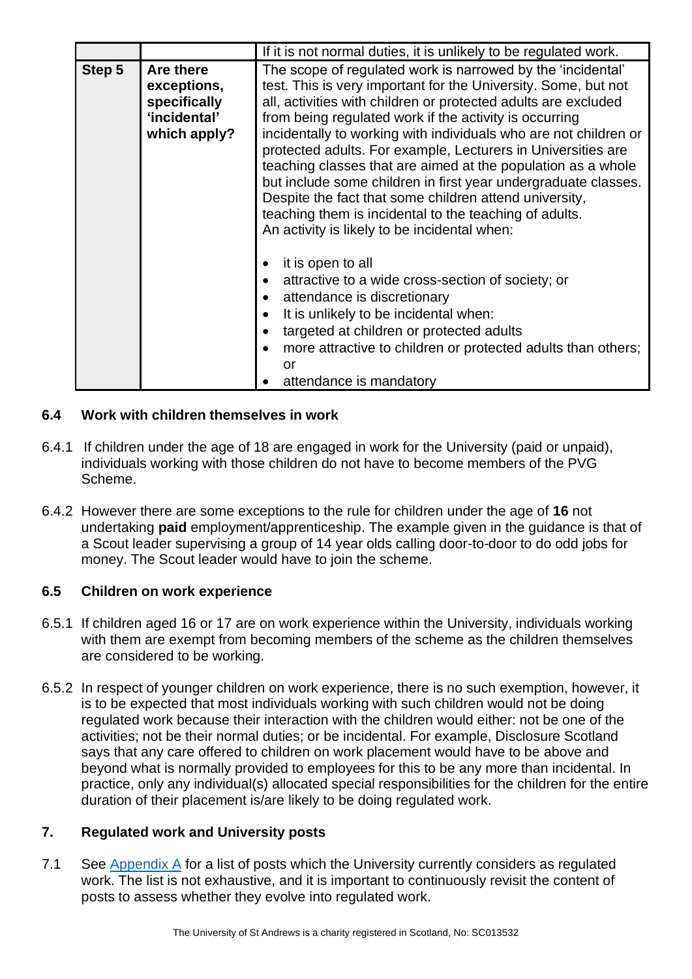|        |                                                                          | If it is not normal duties, it is unlikely to be regulated work.                                                                                                                                                                                                                                                                                                                                                                                                                                                                                                                                                                                                                                    |  |
|--------|--------------------------------------------------------------------------|-----------------------------------------------------------------------------------------------------------------------------------------------------------------------------------------------------------------------------------------------------------------------------------------------------------------------------------------------------------------------------------------------------------------------------------------------------------------------------------------------------------------------------------------------------------------------------------------------------------------------------------------------------------------------------------------------------|--|
| Step 5 | Are there<br>exceptions,<br>specifically<br>'incidental'<br>which apply? | The scope of regulated work is narrowed by the 'incidental'<br>test. This is very important for the University. Some, but not<br>all, activities with children or protected adults are excluded<br>from being regulated work if the activity is occurring<br>incidentally to working with individuals who are not children or<br>protected adults. For example, Lecturers in Universities are<br>teaching classes that are aimed at the population as a whole<br>but include some children in first year undergraduate classes.<br>Despite the fact that some children attend university,<br>teaching them is incidental to the teaching of adults.<br>An activity is likely to be incidental when: |  |
|        |                                                                          | it is open to all<br>attractive to a wide cross-section of society; or<br>attendance is discretionary<br>It is unlikely to be incidental when:<br>targeted at children or protected adults<br>more attractive to children or protected adults than others;<br>or<br>attendance is mandatory                                                                                                                                                                                                                                                                                                                                                                                                         |  |

# **6.4 Work with children themselves in work**

- 6.4.1 If children under the age of 18 are engaged in work for the University (paid or unpaid), individuals working with those children do not have to become members of the PVG Scheme.
- 6.4.2 However there are some exceptions to the rule for children under the age of **16** not undertaking **paid** employment/apprenticeship. The example given in the guidance is that of a Scout leader supervising a group of 14 year olds calling door-to-door to do odd jobs for money. The Scout leader would have to join the scheme.

# **6.5 Children on work experience**

- 6.5.1 If children aged 16 or 17 are on work experience within the University, individuals working with them are exempt from becoming members of the scheme as the children themselves are considered to be working.
- 6.5.2 In respect of younger children on work experience, there is no such exemption, however, it is to be expected that most individuals working with such children would not be doing regulated work because their interaction with the children would either: not be one of the activities; not be their normal duties; or be incidental. For example, Disclosure Scotland says that any care offered to children on work placement would have to be above and beyond what is normally provided to employees for this to be any more than incidental. In practice, only any individual(s) allocated special responsibilities for the children for the entire duration of their placement is/are likely to be doing regulated work.

#### <span id="page-6-0"></span>**7. Regulated work and University posts**

7.1 See [Appendix A](#page-13-0) for a list of posts which the University currently considers as regulated work. The list is not exhaustive, and it is important to continuously revisit the content of posts to assess whether they evolve into regulated work.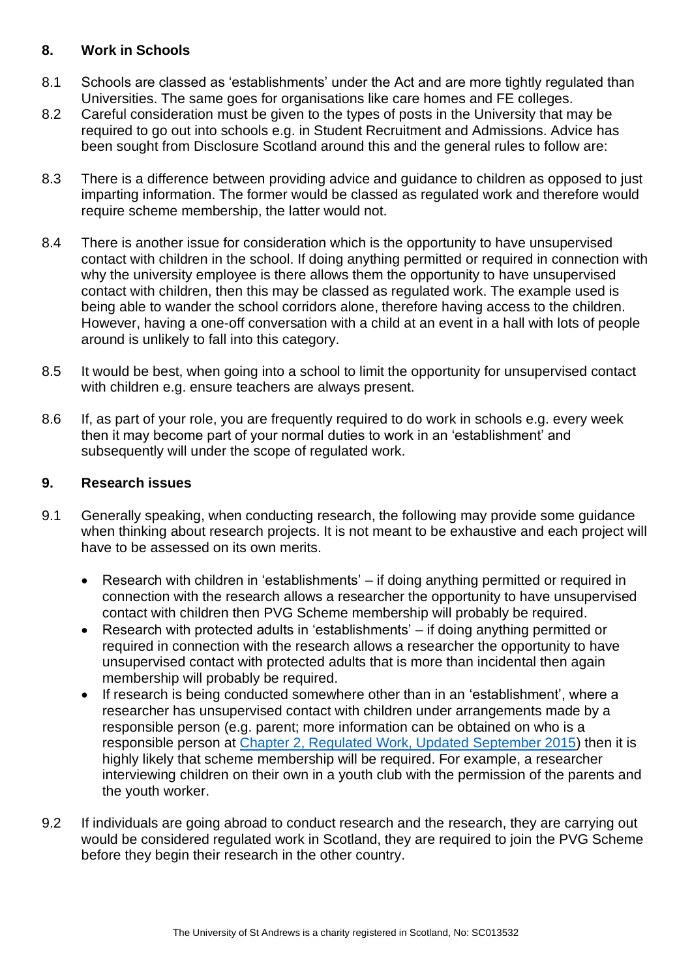## <span id="page-7-0"></span>**8. Work in Schools**

- 8.1 Schools are classed as 'establishments' under the Act and are more tightly regulated than Universities. The same goes for organisations like care homes and FE colleges.
- 8.2 Careful consideration must be given to the types of posts in the University that may be required to go out into schools e.g. in Student Recruitment and Admissions. Advice has been sought from Disclosure Scotland around this and the general rules to follow are:
- 8.3 There is a difference between providing advice and guidance to children as opposed to just imparting information. The former would be classed as regulated work and therefore would require scheme membership, the latter would not.
- 8.4 There is another issue for consideration which is the opportunity to have unsupervised contact with children in the school. If doing anything permitted or required in connection with why the university employee is there allows them the opportunity to have unsupervised contact with children, then this may be classed as regulated work. The example used is being able to wander the school corridors alone, therefore having access to the children. However, having a one-off conversation with a child at an event in a hall with lots of people around is unlikely to fall into this category.
- 8.5 It would be best, when going into a school to limit the opportunity for unsupervised contact with children e.g. ensure teachers are always present.
- 8.6 If, as part of your role, you are frequently required to do work in schools e.g. every week then it may become part of your normal duties to work in an 'establishment' and subsequently will under the scope of regulated work.

# <span id="page-7-1"></span>**9. Research issues**

- 9.1 Generally speaking, when conducting research, the following may provide some guidance when thinking about research projects. It is not meant to be exhaustive and each project will have to be assessed on its own merits.
	- Research with children in 'establishments' if doing anything permitted or required in connection with the research allows a researcher the opportunity to have unsupervised contact with children then PVG Scheme membership will probably be required.
	- Research with protected adults in 'establishments' if doing anything permitted or required in connection with the research allows a researcher the opportunity to have unsupervised contact with protected adults that is more than incidental then again membership will probably be required.
	- If research is being conducted somewhere other than in an 'establishment', where a researcher has unsupervised contact with children under arrangements made by a responsible person (e.g. parent; more information can be obtained on who is a responsible person at [Chapter 2, Regulated Work, Updated September 2015\)](http://www.disclosurescotland.co.uk/disclosureinformation/documents/PVGAct--Guidance--MasterCopy--September2015chapter2.pdf) then it is highly likely that scheme membership will be required. For example, a researcher interviewing children on their own in a youth club with the permission of the parents and the youth worker.
- 9.2 If individuals are going abroad to conduct research and the research, they are carrying out would be considered regulated work in Scotland, they are required to join the PVG Scheme before they begin their research in the other country.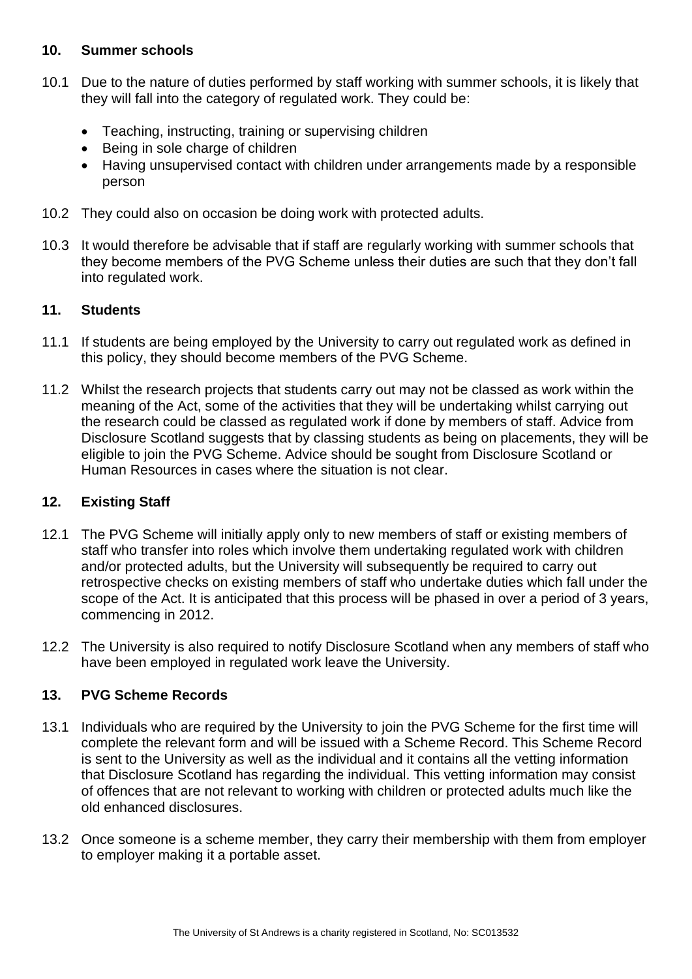#### <span id="page-8-0"></span>**10. Summer schools**

- 10.1 Due to the nature of duties performed by staff working with summer schools, it is likely that they will fall into the category of regulated work. They could be:
	- Teaching, instructing, training or supervising children
	- Being in sole charge of children
	- Having unsupervised contact with children under arrangements made by a responsible person
- 10.2 They could also on occasion be doing work with protected adults.
- 10.3 It would therefore be advisable that if staff are regularly working with summer schools that they become members of the PVG Scheme unless their duties are such that they don't fall into regulated work.

#### <span id="page-8-1"></span>**11. Students**

- 11.1 If students are being employed by the University to carry out regulated work as defined in this policy, they should become members of the PVG Scheme.
- 11.2 Whilst the research projects that students carry out may not be classed as work within the meaning of the Act, some of the activities that they will be undertaking whilst carrying out the research could be classed as regulated work if done by members of staff. Advice from Disclosure Scotland suggests that by classing students as being on placements, they will be eligible to join the PVG Scheme. Advice should be sought from Disclosure Scotland or Human Resources in cases where the situation is not clear.

#### <span id="page-8-2"></span>**12. Existing Staff**

- 12.1 The PVG Scheme will initially apply only to new members of staff or existing members of staff who transfer into roles which involve them undertaking regulated work with children and/or protected adults, but the University will subsequently be required to carry out retrospective checks on existing members of staff who undertake duties which fall under the scope of the Act. It is anticipated that this process will be phased in over a period of 3 years, commencing in 2012.
- 12.2 The University is also required to notify Disclosure Scotland when any members of staff who have been employed in regulated work leave the University.

#### <span id="page-8-3"></span>**13. PVG Scheme Records**

- 13.1 Individuals who are required by the University to join the PVG Scheme for the first time will complete the relevant form and will be issued with a Scheme Record. This Scheme Record is sent to the University as well as the individual and it contains all the vetting information that Disclosure Scotland has regarding the individual. This vetting information may consist of offences that are not relevant to working with children or protected adults much like the old enhanced disclosures.
- 13.2 Once someone is a scheme member, they carry their membership with them from employer to employer making it a portable asset.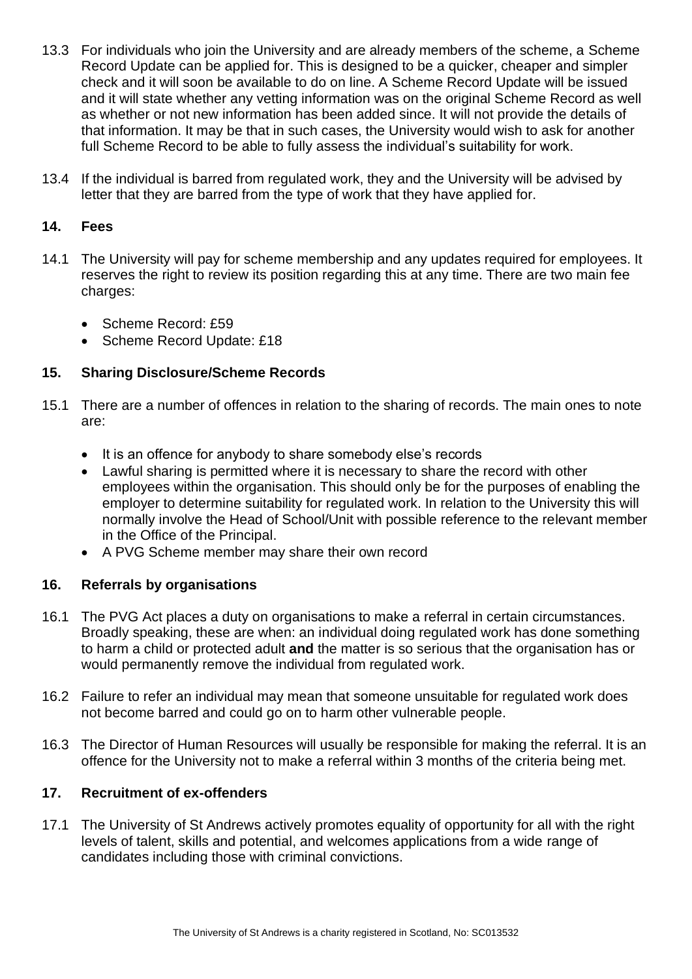- 13.3 For individuals who join the University and are already members of the scheme, a Scheme Record Update can be applied for. This is designed to be a quicker, cheaper and simpler check and it will soon be available to do on line. A Scheme Record Update will be issued and it will state whether any vetting information was on the original Scheme Record as well as whether or not new information has been added since. It will not provide the details of that information. It may be that in such cases, the University would wish to ask for another full Scheme Record to be able to fully assess the individual's suitability for work.
- 13.4 If the individual is barred from regulated work, they and the University will be advised by letter that they are barred from the type of work that they have applied for.

## <span id="page-9-0"></span>**14. Fees**

- 14.1 The University will pay for scheme membership and any updates required for employees. It reserves the right to review its position regarding this at any time. There are two main fee charges:
	- Scheme Record: £59
	- Scheme Record Update: £18

# <span id="page-9-1"></span>**15. Sharing Disclosure/Scheme Records**

- 15.1 There are a number of offences in relation to the sharing of records. The main ones to note are:
	- It is an offence for anybody to share somebody else's records
	- Lawful sharing is permitted where it is necessary to share the record with other employees within the organisation. This should only be for the purposes of enabling the employer to determine suitability for regulated work. In relation to the University this will normally involve the Head of School/Unit with possible reference to the relevant member in the Office of the Principal.
	- A PVG Scheme member may share their own record

# <span id="page-9-2"></span>**16. Referrals by organisations**

- 16.1 The PVG Act places a duty on organisations to make a referral in certain circumstances. Broadly speaking, these are when: an individual doing regulated work has done something to harm a child or protected adult **and** the matter is so serious that the organisation has or would permanently remove the individual from regulated work.
- 16.2 Failure to refer an individual may mean that someone unsuitable for regulated work does not become barred and could go on to harm other vulnerable people.
- 16.3 The Director of Human Resources will usually be responsible for making the referral. It is an offence for the University not to make a referral within 3 months of the criteria being met.

# <span id="page-9-3"></span>**17. Recruitment of ex-offenders**

17.1 The University of St Andrews actively promotes equality of opportunity for all with the right levels of talent, skills and potential, and welcomes applications from a wide range of candidates including those with criminal convictions.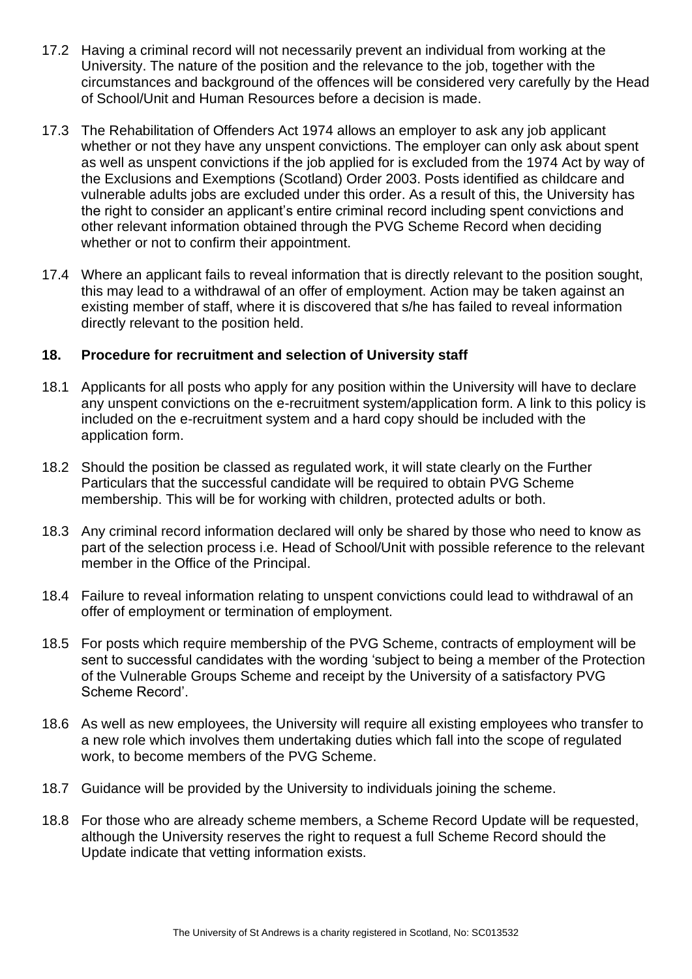- 17.2 Having a criminal record will not necessarily prevent an individual from working at the University. The nature of the position and the relevance to the job, together with the circumstances and background of the offences will be considered very carefully by the Head of School/Unit and Human Resources before a decision is made.
- 17.3 The Rehabilitation of Offenders Act 1974 allows an employer to ask any job applicant whether or not they have any unspent convictions. The employer can only ask about spent as well as unspent convictions if the job applied for is excluded from the 1974 Act by way of the Exclusions and Exemptions (Scotland) Order 2003. Posts identified as childcare and vulnerable adults jobs are excluded under this order. As a result of this, the University has the right to consider an applicant's entire criminal record including spent convictions and other relevant information obtained through the PVG Scheme Record when deciding whether or not to confirm their appointment.
- 17.4 Where an applicant fails to reveal information that is directly relevant to the position sought, this may lead to a withdrawal of an offer of employment. Action may be taken against an existing member of staff, where it is discovered that s/he has failed to reveal information directly relevant to the position held.

#### <span id="page-10-0"></span>**18. Procedure for recruitment and selection of University staff**

- 18.1 Applicants for all posts who apply for any position within the University will have to declare any unspent convictions on the e-recruitment system/application form. A link to this policy is included on the e-recruitment system and a hard copy should be included with the application form.
- 18.2 Should the position be classed as regulated work, it will state clearly on the Further Particulars that the successful candidate will be required to obtain PVG Scheme membership. This will be for working with children, protected adults or both.
- 18.3 Any criminal record information declared will only be shared by those who need to know as part of the selection process i.e. Head of School/Unit with possible reference to the relevant member in the Office of the Principal.
- 18.4 Failure to reveal information relating to unspent convictions could lead to withdrawal of an offer of employment or termination of employment.
- 18.5 For posts which require membership of the PVG Scheme, contracts of employment will be sent to successful candidates with the wording 'subject to being a member of the Protection of the Vulnerable Groups Scheme and receipt by the University of a satisfactory PVG Scheme Record'.
- 18.6 As well as new employees, the University will require all existing employees who transfer to a new role which involves them undertaking duties which fall into the scope of regulated work, to become members of the PVG Scheme.
- 18.7 Guidance will be provided by the University to individuals joining the scheme.
- 18.8 For those who are already scheme members, a Scheme Record Update will be requested, although the University reserves the right to request a full Scheme Record should the Update indicate that vetting information exists.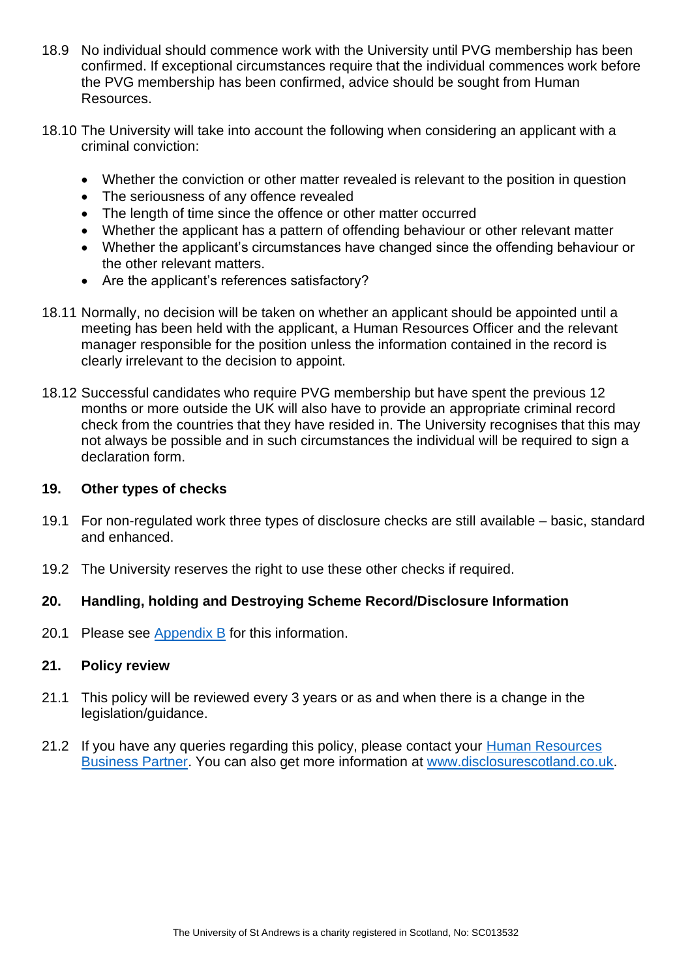- 18.9 No individual should commence work with the University until PVG membership has been confirmed. If exceptional circumstances require that the individual commences work before the PVG membership has been confirmed, advice should be sought from Human Resources.
- 18.10 The University will take into account the following when considering an applicant with a criminal conviction:
	- Whether the conviction or other matter revealed is relevant to the position in question
	- The seriousness of any offence revealed
	- The length of time since the offence or other matter occurred
	- Whether the applicant has a pattern of offending behaviour or other relevant matter
	- Whether the applicant's circumstances have changed since the offending behaviour or the other relevant matters.
	- Are the applicant's references satisfactory?
- 18.11 Normally, no decision will be taken on whether an applicant should be appointed until a meeting has been held with the applicant, a Human Resources Officer and the relevant manager responsible for the position unless the information contained in the record is clearly irrelevant to the decision to appoint.
- 18.12 Successful candidates who require PVG membership but have spent the previous 12 months or more outside the UK will also have to provide an appropriate criminal record check from the countries that they have resided in. The University recognises that this may not always be possible and in such circumstances the individual will be required to sign a declaration form.

#### <span id="page-11-0"></span>**19. Other types of checks**

- 19.1 For non-regulated work three types of disclosure checks are still available basic, standard and enhanced.
- 19.2 The University reserves the right to use these other checks if required.

#### <span id="page-11-1"></span>**20. Handling, holding and Destroying Scheme Record/Disclosure Information**

20.1 Please see [Appendix B](#page-14-0) for this information.

#### <span id="page-11-2"></span>**21. Policy review**

- 21.1 This policy will be reviewed every 3 years or as and when there is a change in the legislation/guidance.
- 21.2 If you have any queries regarding this policy, please contact your Human Resources [Business Partner.](https://www.st-andrews.ac.uk/hr/businesspartner/) You can also get more information at [www.disclosurescotland.co.uk.](http://www.disclosurescotland.co.uk/)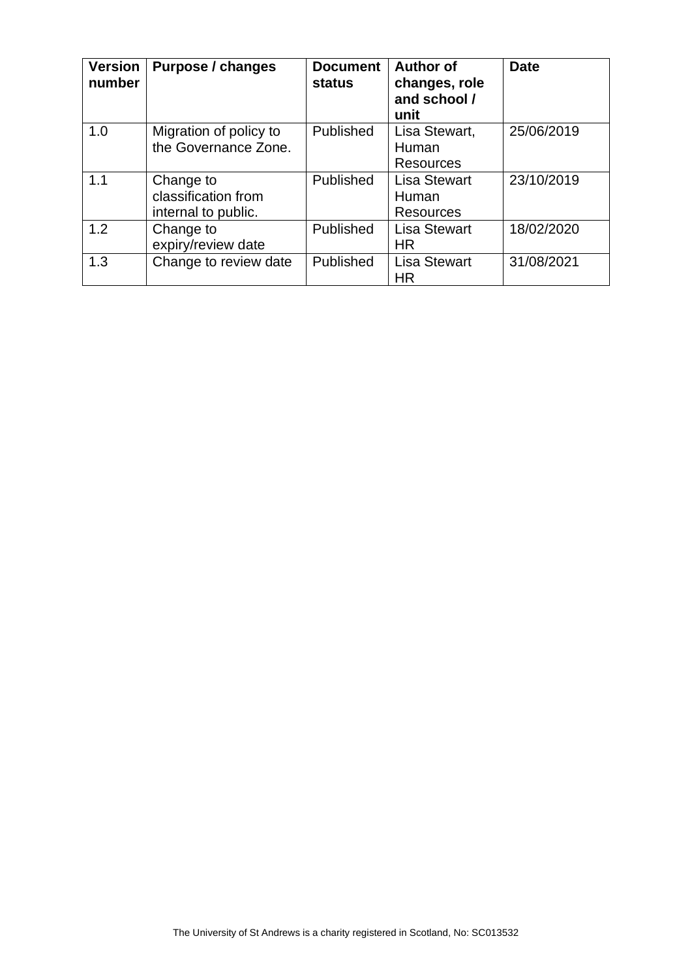| <b>Version</b><br>number | Purpose / changes                                       | <b>Document</b><br><b>status</b> | <b>Author of</b><br>changes, role<br>and school /<br>unit | <b>Date</b> |
|--------------------------|---------------------------------------------------------|----------------------------------|-----------------------------------------------------------|-------------|
| 1.0                      | Migration of policy to<br>the Governance Zone.          | Published                        | Lisa Stewart,<br>Human<br><b>Resources</b>                | 25/06/2019  |
| 1.1                      | Change to<br>classification from<br>internal to public. | Published                        | <b>Lisa Stewart</b><br>Human<br><b>Resources</b>          | 23/10/2019  |
| 1.2                      | Change to<br>expiry/review date                         | Published                        | <b>Lisa Stewart</b><br>HR.                                | 18/02/2020  |
| 1.3                      | Change to review date                                   | Published                        | <b>Lisa Stewart</b><br><b>HR</b>                          | 31/08/2021  |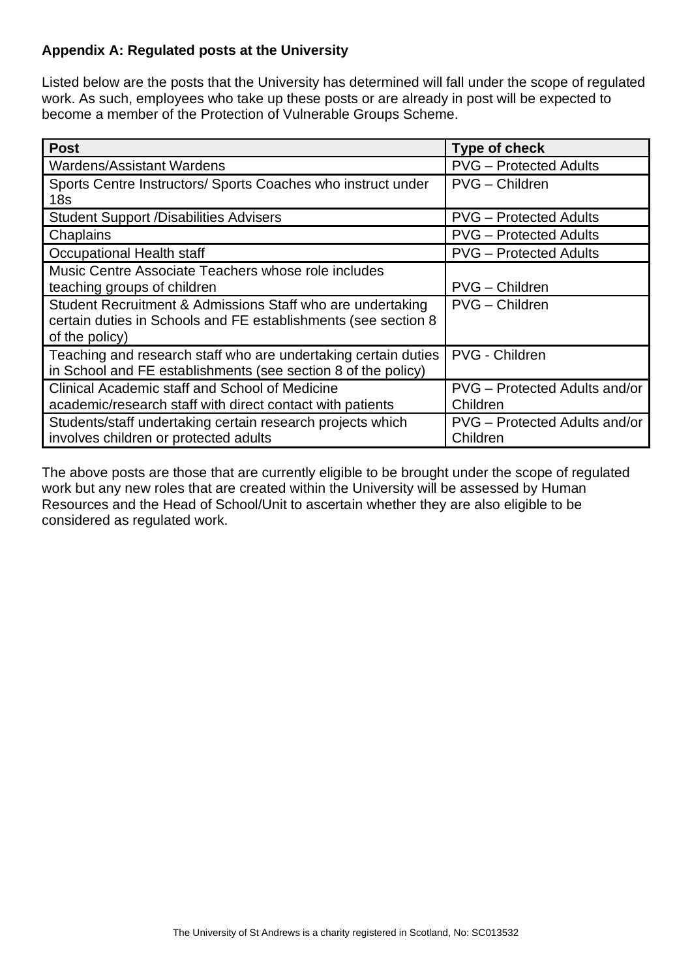# <span id="page-13-0"></span>**Appendix A: Regulated posts at the University**

Listed below are the posts that the University has determined will fall under the scope of regulated work. As such, employees who take up these posts or are already in post will be expected to become a member of the Protection of Vulnerable Groups Scheme.

| <b>Post</b>                                                                                                                                    | <b>Type of check</b>                      |
|------------------------------------------------------------------------------------------------------------------------------------------------|-------------------------------------------|
| <b>Wardens/Assistant Wardens</b>                                                                                                               | <b>PVG</b> – Protected Adults             |
| Sports Centre Instructors/ Sports Coaches who instruct under<br>18 <sub>s</sub>                                                                | PVG - Children                            |
| <b>Student Support /Disabilities Advisers</b>                                                                                                  | <b>PVG</b> – Protected Adults             |
| Chaplains                                                                                                                                      | <b>PVG</b> – Protected Adults             |
| Occupational Health staff                                                                                                                      | <b>PVG</b> – Protected Adults             |
| Music Centre Associate Teachers whose role includes<br>teaching groups of children                                                             | PVG - Children                            |
| Student Recruitment & Admissions Staff who are undertaking<br>certain duties in Schools and FE establishments (see section 8<br>of the policy) | PVG - Children                            |
| Teaching and research staff who are undertaking certain duties<br>in School and FE establishments (see section 8 of the policy)                | PVG - Children                            |
| Clinical Academic staff and School of Medicine<br>academic/research staff with direct contact with patients                                    | PVG - Protected Adults and/or<br>Children |
| Students/staff undertaking certain research projects which<br>involves children or protected adults                                            | PVG – Protected Adults and/or<br>Children |

The above posts are those that are currently eligible to be brought under the scope of regulated work but any new roles that are created within the University will be assessed by Human Resources and the Head of School/Unit to ascertain whether they are also eligible to be considered as regulated work.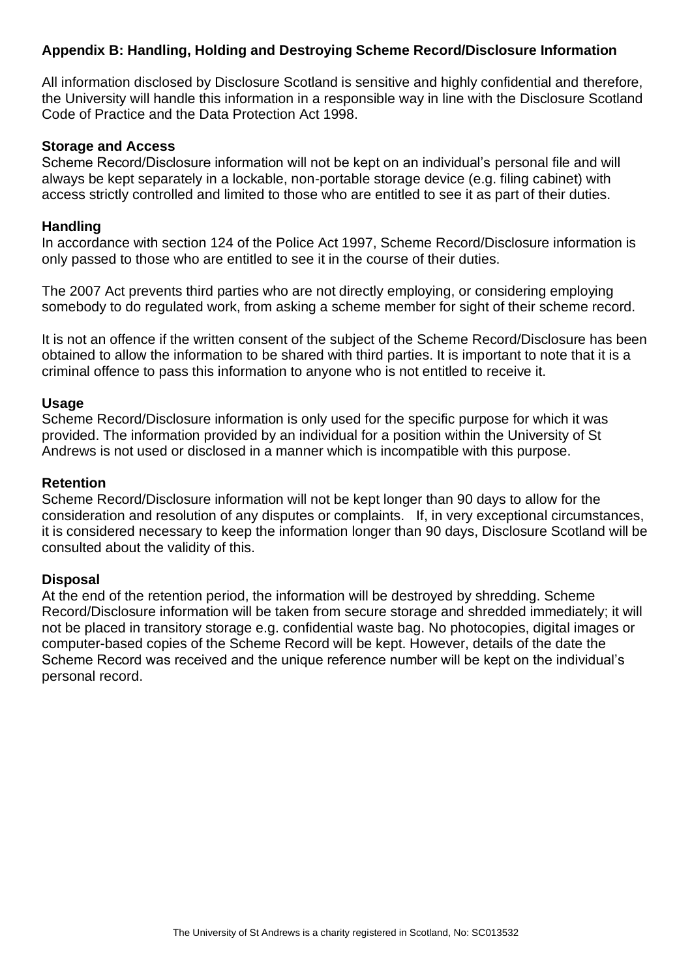# <span id="page-14-0"></span>**Appendix B: Handling, Holding and Destroying Scheme Record/Disclosure Information**

All information disclosed by Disclosure Scotland is sensitive and highly confidential and therefore, the University will handle this information in a responsible way in line with the Disclosure Scotland Code of Practice and the Data Protection Act 1998.

#### **Storage and Access**

Scheme Record/Disclosure information will not be kept on an individual's personal file and will always be kept separately in a lockable, non-portable storage device (e.g. filing cabinet) with access strictly controlled and limited to those who are entitled to see it as part of their duties.

#### **Handling**

In accordance with section 124 of the Police Act 1997, Scheme Record/Disclosure information is only passed to those who are entitled to see it in the course of their duties.

The 2007 Act prevents third parties who are not directly employing, or considering employing somebody to do regulated work, from asking a scheme member for sight of their scheme record.

It is not an offence if the written consent of the subject of the Scheme Record/Disclosure has been obtained to allow the information to be shared with third parties. It is important to note that it is a criminal offence to pass this information to anyone who is not entitled to receive it.

#### **Usage**

Scheme Record/Disclosure information is only used for the specific purpose for which it was provided. The information provided by an individual for a position within the University of St Andrews is not used or disclosed in a manner which is incompatible with this purpose.

#### **Retention**

Scheme Record/Disclosure information will not be kept longer than 90 days to allow for the consideration and resolution of any disputes or complaints. If, in very exceptional circumstances, it is considered necessary to keep the information longer than 90 days, Disclosure Scotland will be consulted about the validity of this.

#### **Disposal**

At the end of the retention period, the information will be destroyed by shredding. Scheme Record/Disclosure information will be taken from secure storage and shredded immediately; it will not be placed in transitory storage e.g. confidential waste bag. No photocopies, digital images or computer-based copies of the Scheme Record will be kept. However, details of the date the Scheme Record was received and the unique reference number will be kept on the individual's personal record.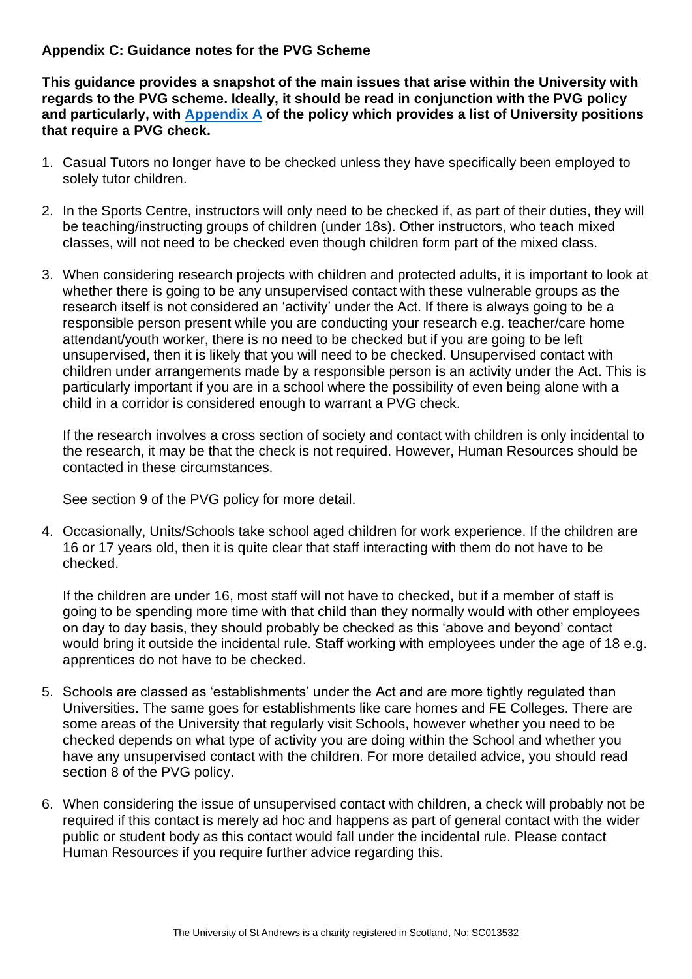## <span id="page-15-0"></span>**Appendix C: Guidance notes for the PVG Scheme**

**This guidance provides a snapshot of the main issues that arise within the University with regards to the PVG scheme. Ideally, it should be read in conjunction with the PVG policy and particularly, with [Appendix A](#page-13-0) of the policy which provides a list of University positions that require a PVG check.** 

- 1. Casual Tutors no longer have to be checked unless they have specifically been employed to solely tutor children.
- 2. In the Sports Centre, instructors will only need to be checked if, as part of their duties, they will be teaching/instructing groups of children (under 18s). Other instructors, who teach mixed classes, will not need to be checked even though children form part of the mixed class.
- 3. When considering research projects with children and protected adults, it is important to look at whether there is going to be any unsupervised contact with these vulnerable groups as the research itself is not considered an 'activity' under the Act. If there is always going to be a responsible person present while you are conducting your research e.g. teacher/care home attendant/youth worker, there is no need to be checked but if you are going to be left unsupervised, then it is likely that you will need to be checked. Unsupervised contact with children under arrangements made by a responsible person is an activity under the Act. This is particularly important if you are in a school where the possibility of even being alone with a child in a corridor is considered enough to warrant a PVG check.

If the research involves a cross section of society and contact with children is only incidental to the research, it may be that the check is not required. However, Human Resources should be contacted in these circumstances.

See section 9 of the PVG policy for more detail.

4. Occasionally, Units/Schools take school aged children for work experience. If the children are 16 or 17 years old, then it is quite clear that staff interacting with them do not have to be checked.

If the children are under 16, most staff will not have to checked, but if a member of staff is going to be spending more time with that child than they normally would with other employees on day to day basis, they should probably be checked as this 'above and beyond' contact would bring it outside the incidental rule. Staff working with employees under the age of 18 e.g. apprentices do not have to be checked.

- 5. Schools are classed as 'establishments' under the Act and are more tightly regulated than Universities. The same goes for establishments like care homes and FE Colleges. There are some areas of the University that regularly visit Schools, however whether you need to be checked depends on what type of activity you are doing within the School and whether you have any unsupervised contact with the children. For more detailed advice, you should read section 8 of the PVG policy.
- 6. When considering the issue of unsupervised contact with children, a check will probably not be required if this contact is merely ad hoc and happens as part of general contact with the wider public or student body as this contact would fall under the incidental rule. Please contact Human Resources if you require further advice regarding this.